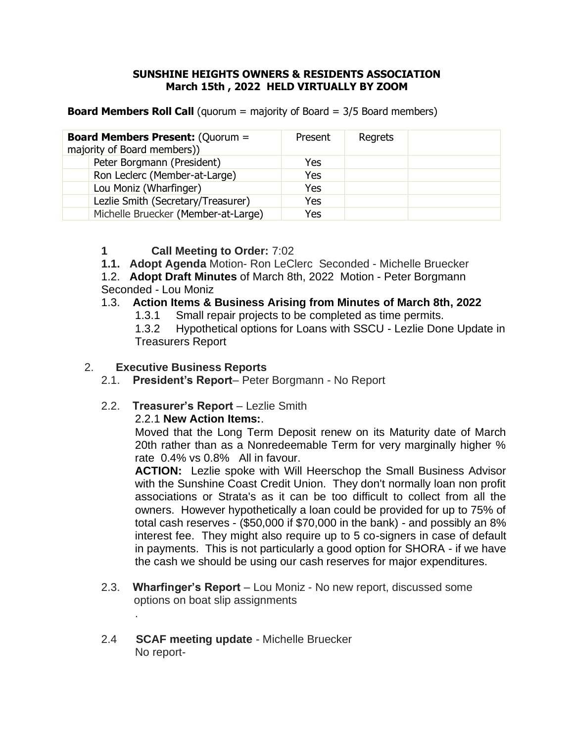#### **SUNSHINE HEIGHTS OWNERS & RESIDENTS ASSOCIATION March 15th , 2022 HELD VIRTUALLY BY ZOOM**

**Board Members Roll Call** (quorum = majority of Board = 3/5 Board members)

| <b>Board Members Present: (Quorum =</b><br>majority of Board members)) |                                     | Present | Regrets |  |
|------------------------------------------------------------------------|-------------------------------------|---------|---------|--|
|                                                                        | Peter Borgmann (President)          | Yes     |         |  |
|                                                                        | Ron Leclerc (Member-at-Large)       | Yes     |         |  |
|                                                                        | Lou Moniz (Wharfinger)              | Yes     |         |  |
|                                                                        | Lezlie Smith (Secretary/Treasurer)  | Yes     |         |  |
|                                                                        | Michelle Bruecker (Member-at-Large) | Yes     |         |  |

# **1 Call Meeting to Order:** 7:02

- **1.1. Adopt Agenda** Motion- Ron LeClerc Seconded Michelle Bruecker
- 1.2. **Adopt Draft Minutes** of March 8th, 2022 Motion Peter Borgmann Seconded - Lou Moniz

### 1.3. **Action Items & Business Arising from Minutes of March 8th, 2022**

1.3.1 Small repair projects to be completed as time permits.

1.3.2 Hypothetical options for Loans with SSCU - Lezlie Done Update in Treasurers Report

# 2. **Executive Business Reports**

.

2.1. **President's Report**– Peter Borgmann - No Report

# 2.2. **Treasurer's Report** – Lezlie Smith

#### 2.2.1 **New Action Items:**.

Moved that the Long Term Deposit renew on its Maturity date of March 20th rather than as a Nonredeemable Term for very marginally higher % rate 0.4% vs 0.8% All in favour.

**ACTION:** Lezlie spoke with Will Heerschop the Small Business Advisor with the Sunshine Coast Credit Union. They don't normally loan non profit associations or Strata's as it can be too difficult to collect from all the owners. However hypothetically a loan could be provided for up to 75% of total cash reserves - (\$50,000 if \$70,000 in the bank) - and possibly an 8% interest fee. They might also require up to 5 co-signers in case of default in payments. This is not particularly a good option for SHORA - if we have the cash we should be using our cash reserves for major expenditures.

- 2.3. **Wharfinger's Report** Lou Moniz No new report, discussed some options on boat slip assignments
- 2.4 **SCAF meeting update** Michelle Bruecker No report-